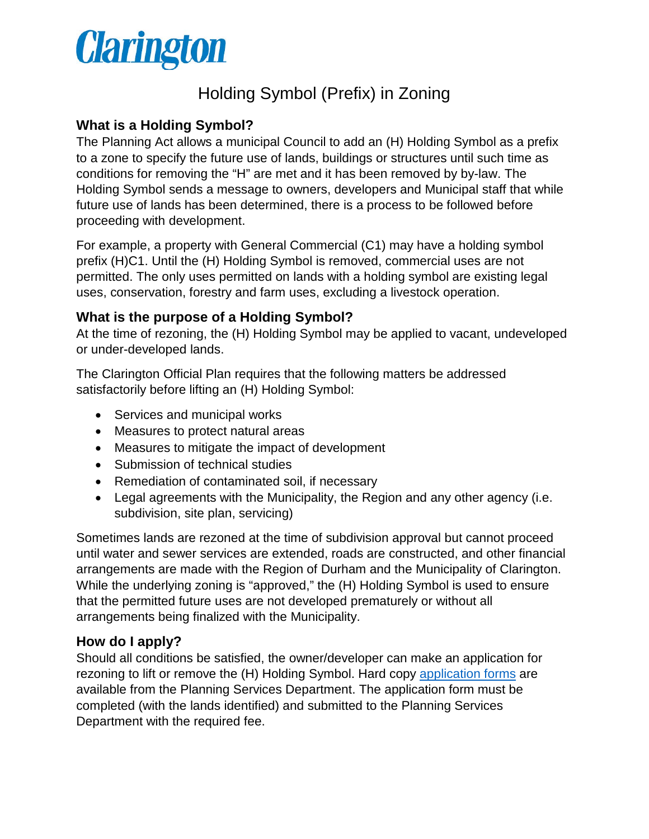

# Holding Symbol (Prefix) in Zoning

# **What is a Holding Symbol?**

The Planning Act allows a municipal Council to add an (H) Holding Symbol as a prefix to a zone to specify the future use of lands, buildings or structures until such time as conditions for removing the "H" are met and it has been removed by by-law. The Holding Symbol sends a message to owners, developers and Municipal staff that while future use of lands has been determined, there is a process to be followed before proceeding with development.

For example, a property with General Commercial (C1) may have a holding symbol prefix (H)C1. Until the (H) Holding Symbol is removed, commercial uses are not permitted. The only uses permitted on lands with a holding symbol are existing legal uses, conservation, forestry and farm uses, excluding a livestock operation.

### **What is the purpose of a Holding Symbol?**

At the time of rezoning, the (H) Holding Symbol may be applied to vacant, undeveloped or under-developed lands.

The Clarington Official Plan requires that the following matters be addressed satisfactorily before lifting an (H) Holding Symbol:

- Services and municipal works
- Measures to protect natural areas
- Measures to mitigate the impact of development
- Submission of technical studies
- Remediation of contaminated soil, if necessary
- Legal agreements with the Municipality, the Region and any other agency (i.e. subdivision, site plan, servicing)

Sometimes lands are rezoned at the time of subdivision approval but cannot proceed until water and sewer services are extended, roads are constructed, and other financial arrangements are made with the Region of Durham and the Municipality of Clarington. While the underlying zoning is "approved," the (H) Holding Symbol is used to ensure that the permitted future uses are not developed prematurely or without all arrangements being finalized with the Municipality.

### **How do I apply?**

Should all conditions be satisfied, the owner/developer can make an application for rezoning to lift or remove the (H) Holding Symbol. Hard copy [application forms](https://www.clarington.net/en/do-business/resources/application-forms/application-for-rezoning.pdf) are available from the Planning Services Department. The application form must be completed (with the lands identified) and submitted to the Planning Services Department with the required fee.